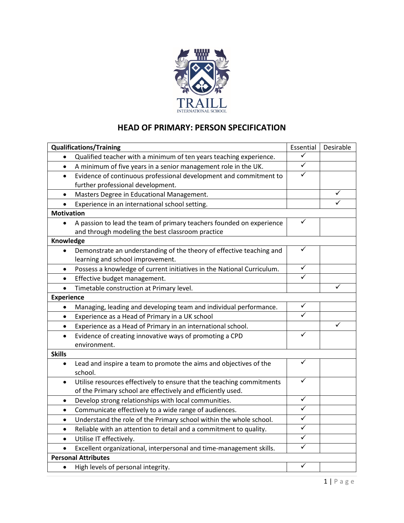

## **HEAD OF PRIMARY: PERSON SPECIFICATION**

| <b>Qualifications/Training</b> |                                                                        | Essential    | Desirable |  |
|--------------------------------|------------------------------------------------------------------------|--------------|-----------|--|
| $\bullet$                      | Qualified teacher with a minimum of ten years teaching experience.     | ✓            |           |  |
| $\bullet$                      | A minimum of five years in a senior management role in the UK.         | ✓            |           |  |
| $\bullet$                      | Evidence of continuous professional development and commitment to      | $\checkmark$ |           |  |
|                                | further professional development.                                      |              |           |  |
| $\bullet$                      | Masters Degree in Educational Management.                              |              | ✓         |  |
|                                | Experience in an international school setting.                         |              | ✓         |  |
| <b>Motivation</b>              |                                                                        |              |           |  |
| $\bullet$                      | A passion to lead the team of primary teachers founded on experience   | ✓            |           |  |
|                                | and through modeling the best classroom practice                       |              |           |  |
| Knowledge                      |                                                                        |              |           |  |
| $\bullet$                      | Demonstrate an understanding of the theory of effective teaching and   | ✓            |           |  |
|                                | learning and school improvement.                                       |              |           |  |
| $\bullet$                      | Possess a knowledge of current initiatives in the National Curriculum. | ✓            |           |  |
| $\bullet$                      | Effective budget management.                                           | ✓            |           |  |
| $\bullet$                      | Timetable construction at Primary level.                               |              | ✓         |  |
| <b>Experience</b>              |                                                                        |              |           |  |
| $\bullet$                      | Managing, leading and developing team and individual performance.      | ✓            |           |  |
| $\bullet$                      | Experience as a Head of Primary in a UK school                         |              |           |  |
| $\bullet$                      | Experience as a Head of Primary in an international school.            |              | ✓         |  |
| $\bullet$                      | Evidence of creating innovative ways of promoting a CPD                | ✓            |           |  |
|                                | environment.                                                           |              |           |  |
| <b>Skills</b>                  |                                                                        |              |           |  |
|                                | Lead and inspire a team to promote the aims and objectives of the      | ✓            |           |  |
|                                | school.                                                                |              |           |  |
|                                | Utilise resources effectively to ensure that the teaching commitments  | ✓            |           |  |
|                                | of the Primary school are effectively and efficiently used.            |              |           |  |
| $\bullet$                      | Develop strong relationships with local communities.                   | ✓            |           |  |
| $\bullet$                      | Communicate effectively to a wide range of audiences.                  | ✓            |           |  |
| $\bullet$                      | Understand the role of the Primary school within the whole school.     | ✓            |           |  |
| $\bullet$                      | Reliable with an attention to detail and a commitment to quality.      | ✓            |           |  |
| $\bullet$                      | Utilise IT effectively.                                                | ✓            |           |  |
| $\bullet$                      | Excellent organizational, interpersonal and time-management skills.    | ✓            |           |  |
| <b>Personal Attributes</b>     |                                                                        |              |           |  |
| $\bullet$                      | High levels of personal integrity.                                     | ✓            |           |  |